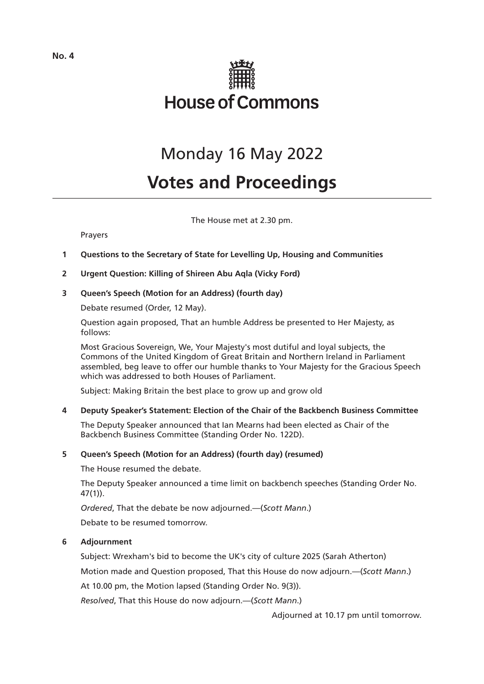

## Monday 16 May 2022

# **Votes and Proceedings**

The House met at 2.30 pm.

## Prayers

- **1 Questions to the Secretary of State for Levelling Up, Housing and Communities**
- **2 Urgent Question: Killing of Shireen Abu Aqla (Vicky Ford)**

## **3 Queen's Speech (Motion for an Address) (fourth day)**

Debate resumed (Order, 12 May).

Question again proposed, That an humble Address be presented to Her Majesty, as follows:

Most Gracious Sovereign, We, Your Majesty's most dutiful and loyal subjects, the Commons of the United Kingdom of Great Britain and Northern Ireland in Parliament assembled, beg leave to offer our humble thanks to Your Majesty for the Gracious Speech which was addressed to both Houses of Parliament.

Subject: Making Britain the best place to grow up and grow old

## **4 Deputy Speaker's Statement: Election of the Chair of the Backbench Business Committee**

The Deputy Speaker announced that Ian Mearns had been elected as Chair of the Backbench Business Committee (Standing Order No. 122D).

## **5 Queen's Speech (Motion for an Address) (fourth day) (resumed)**

The House resumed the debate.

The Deputy Speaker announced a time limit on backbench speeches (Standing Order No. 47(1)).

*Ordered*, That the debate be now adjourned.—(*Scott Mann*.)

Debate to be resumed tomorrow.

## **6 Adjournment**

Subject: Wrexham's bid to become the UK's city of culture 2025 (Sarah Atherton)

Motion made and Question proposed, That this House do now adjourn.—(*Scott Mann*.)

At 10.00 pm, the Motion lapsed (Standing Order No. 9(3)).

*Resolved*, That this House do now adjourn.—(*Scott Mann*.)

Adjourned at 10.17 pm until tomorrow.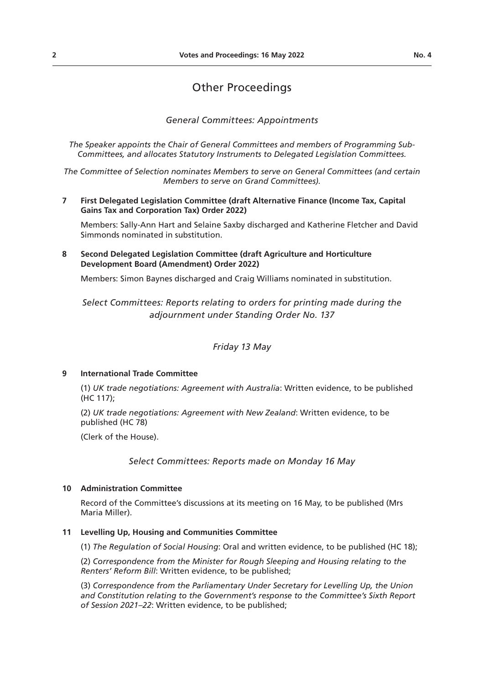## Other Proceedings

*General Committees: Appointments*

*The Speaker appoints the Chair of General Committees and members of Programming Sub-Committees, and allocates Statutory Instruments to Delegated Legislation Committees.*

*The Committee of Selection nominates Members to serve on General Committees (and certain Members to serve on Grand Committees).*

**7 First Delegated Legislation Committee (draft Alternative Finance (Income Tax, Capital Gains Tax and Corporation Tax) Order 2022)**

Members: Sally-Ann Hart and Selaine Saxby discharged and Katherine Fletcher and David Simmonds nominated in substitution.

**8 Second Delegated Legislation Committee (draft Agriculture and Horticulture Development Board (Amendment) Order 2022)**

Members: Simon Baynes discharged and Craig Williams nominated in substitution.

*Select Committees: Reports relating to orders for printing made during the adjournment under Standing Order No. 137*

*Friday 13 May*

## **9 International Trade Committee**

(1) *UK trade negotiations: Agreement with Australia*: Written evidence, to be published (HC 117);

(2) *UK trade negotiations: Agreement with New Zealand*: Written evidence, to be published (HC 78)

(Clerk of the House).

*Select Committees: Reports made on Monday 16 May*

## **10 Administration Committee**

Record of the Committee's discussions at its meeting on 16 May, to be published (Mrs Maria Miller).

## **11 Levelling Up, Housing and Communities Committee**

(1) *The Regulation of Social Housing*: Oral and written evidence, to be published (HC 18);

(2) *Correspondence from the Minister for Rough Sleeping and Housing relating to the Renters' Reform Bill*: Written evidence, to be published;

(3) *Correspondence from the Parliamentary Under Secretary for Levelling Up, the Union and Constitution relating to the Government's response to the Committee's Sixth Report of Session 2021–22*: Written evidence, to be published;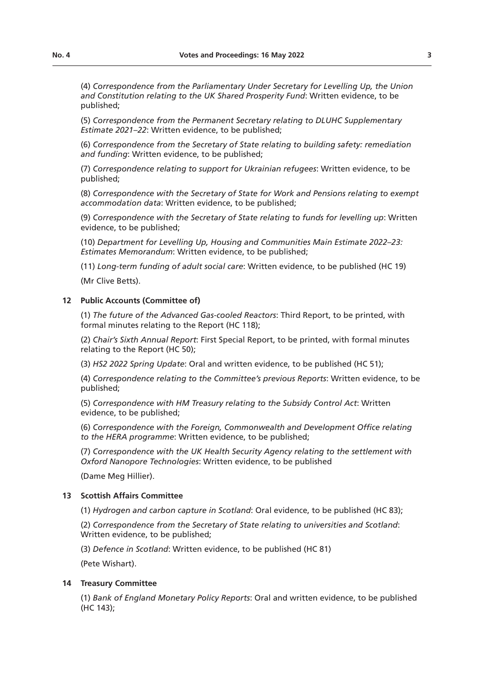(4) *Correspondence from the Parliamentary Under Secretary for Levelling Up, the Union and Constitution relating to the UK Shared Prosperity Fund*: Written evidence, to be published;

(5) *Correspondence from the Permanent Secretary relating to DLUHC Supplementary Estimate 2021–22*: Written evidence, to be published;

(6) *Correspondence from the Secretary of State relating to building safety: remediation and funding*: Written evidence, to be published;

(7) *Correspondence relating to support for Ukrainian refugees*: Written evidence, to be published;

(8) *Correspondence with the Secretary of State for Work and Pensions relating to exempt accommodation data*: Written evidence, to be published;

(9) *Correspondence with the Secretary of State relating to funds for levelling up*: Written evidence, to be published;

(10) *Department for Levelling Up, Housing and Communities Main Estimate 2022–23: Estimates Memorandum*: Written evidence, to be published;

(11) *Long-term funding of adult social care*: Written evidence, to be published (HC 19)

(Mr Clive Betts).

## **12 Public Accounts (Committee of)**

(1) *The future of the Advanced Gas-cooled Reactors*: Third Report, to be printed, with formal minutes relating to the Report (HC 118);

(2) *Chair's Sixth Annual Report*: First Special Report, to be printed, with formal minutes relating to the Report (HC 50);

(3) *HS2 2022 Spring Update*: Oral and written evidence, to be published (HC 51);

(4) *Correspondence relating to the Committee's previous Reports*: Written evidence, to be published;

(5) *Correspondence with HM Treasury relating to the Subsidy Control Act*: Written evidence, to be published;

(6) *Correspondence with the Foreign, Commonwealth and Development Office relating to the HERA programme*: Written evidence, to be published;

(7) *Correspondence with the UK Health Security Agency relating to the settlement with Oxford Nanopore Technologies*: Written evidence, to be published

(Dame Meg Hillier).

## **13 Scottish Affairs Committee**

(1) *Hydrogen and carbon capture in Scotland*: Oral evidence, to be published (HC 83);

(2) *Correspondence from the Secretary of State relating to universities and Scotland*: Written evidence, to be published;

(3) *Defence in Scotland*: Written evidence, to be published (HC 81)

(Pete Wishart).

## **14 Treasury Committee**

(1) *Bank of England Monetary Policy Reports*: Oral and written evidence, to be published (HC 143);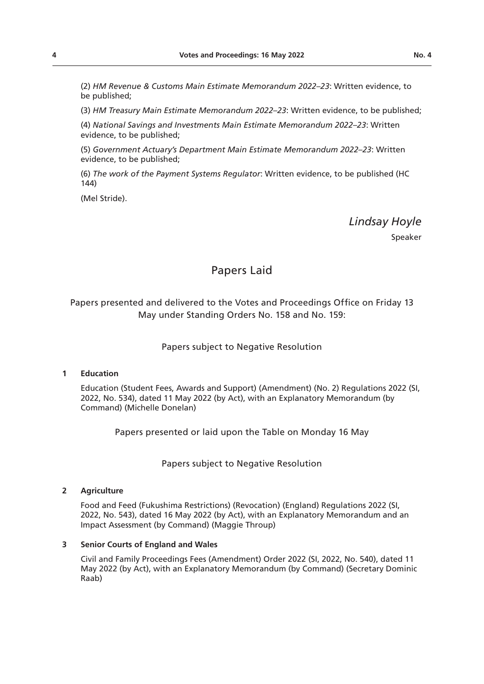(2) *HM Revenue & Customs Main Estimate Memorandum 2022–23*: Written evidence, to be published;

(3) *HM Treasury Main Estimate Memorandum 2022–23*: Written evidence, to be published;

(4) *National Savings and Investments Main Estimate Memorandum 2022–23*: Written evidence, to be published;

(5) *Government Actuary's Department Main Estimate Memorandum 2022–23*: Written evidence, to be published;

(6) *The work of the Payment Systems Regulator*: Written evidence, to be published (HC 144)

(Mel Stride).

*Lindsay Hoyle*

Speaker

## Papers Laid

Papers presented and delivered to the Votes and Proceedings Office on Friday 13 May under Standing Orders No. 158 and No. 159:

## Papers subject to Negative Resolution

## **1 Education**

Education (Student Fees, Awards and Support) (Amendment) (No. 2) Regulations 2022 (SI, 2022, No. 534), dated 11 May 2022 (by Act), with an Explanatory Memorandum (by Command) (Michelle Donelan)

Papers presented or laid upon the Table on Monday 16 May

Papers subject to Negative Resolution

## **2 Agriculture**

Food and Feed (Fukushima Restrictions) (Revocation) (England) Regulations 2022 (SI, 2022, No. 543), dated 16 May 2022 (by Act), with an Explanatory Memorandum and an Impact Assessment (by Command) (Maggie Throup)

## **3 Senior Courts of England and Wales**

Civil and Family Proceedings Fees (Amendment) Order 2022 (SI, 2022, No. 540), dated 11 May 2022 (by Act), with an Explanatory Memorandum (by Command) (Secretary Dominic Raab)